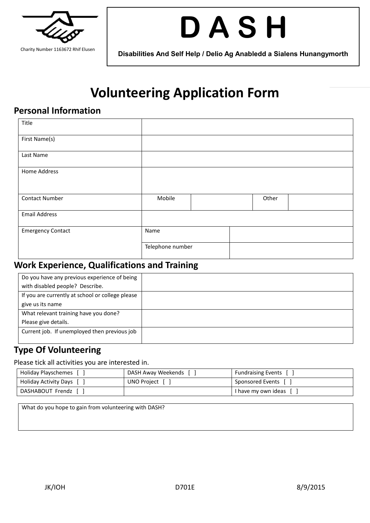

# **D A S H**

**Disabilities And Self Help / Delio Ag Anabledd a Sialens Hunangymorth**

## **Volunteering Application Form**

#### **Personal Information**

| Title                    |                  |  |       |  |
|--------------------------|------------------|--|-------|--|
| First Name(s)            |                  |  |       |  |
| Last Name                |                  |  |       |  |
| Home Address             |                  |  |       |  |
| <b>Contact Number</b>    | Mobile           |  | Other |  |
| <b>Email Address</b>     |                  |  |       |  |
| <b>Emergency Contact</b> | Name             |  |       |  |
|                          | Telephone number |  |       |  |

#### **Work Experience, Qualifications and Training**

| Do you have any previous experience of being     |  |
|--------------------------------------------------|--|
| with disabled people? Describe.                  |  |
| If you are currently at school or college please |  |
| give us its name                                 |  |
| What relevant training have you done?            |  |
| Please give details.                             |  |
| Current job. If unemployed then previous job     |  |
|                                                  |  |

#### **Type Of Volunteering**

Please tick all activities you are interested in.

| Holiday Playschemes     | DASH Away Weekends [ | <b>Fundraising Events</b> |
|-------------------------|----------------------|---------------------------|
| Holiday Activity Days [ | UNO Project [        | Sponsored Events [ ]      |
| DASHABOUT Frendz [      |                      | I have my own ideas       |

What do you hope to gain from volunteering with DASH?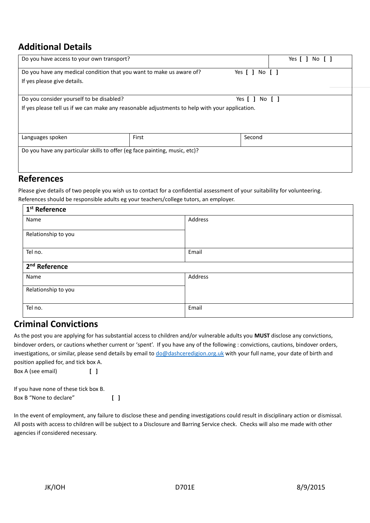### **Additional Details**

| Do you have access to your own transport?                                                      |       |                | Yes [<br>No I |
|------------------------------------------------------------------------------------------------|-------|----------------|---------------|
| Do you have any medical condition that you want to make us aware of?                           |       | Yes [ ] No [ ] |               |
| If yes please give details.                                                                    |       |                |               |
|                                                                                                |       |                |               |
| Do you consider yourself to be disabled?                                                       |       | Yes [ ] No [ ] |               |
| If yes please tell us if we can make any reasonable adjustments to help with your application. |       |                |               |
|                                                                                                |       |                |               |
|                                                                                                |       |                |               |
| Languages spoken                                                                               | First | Second         |               |
|                                                                                                |       |                |               |
| Do you have any particular skills to offer (eg face painting, music, etc)?                     |       |                |               |
|                                                                                                |       |                |               |
|                                                                                                |       |                |               |

#### **References**

Please give details of two people you wish us to contact for a confidential assessment of your suitability for volunteering. References should be responsible adults eg your teachers/college tutors, an employer.

| 1 <sup>st</sup> Reference |         |  |
|---------------------------|---------|--|
| Name                      | Address |  |
| Relationship to you       |         |  |
| Tel no.                   | Email   |  |
| 2 <sup>nd</sup> Reference |         |  |
| Name                      | Address |  |
| Relationship to you       |         |  |
| Tel no.                   | Email   |  |

#### **Criminal Convictions**

As the post you are applying for has substantial access to children and/or vulnerable adults you **MUST** disclose any convictions, bindover orders, or cautions whether current or 'spent'. If you have any of the following : convictions, cautions, bindover orders, investigations, or similar, please send details by email to [do@dashceredigion.org.uk](mailto:do@dashceredigion.org.uk) with your full name, your date of birth and position applied for, and tick box A.

| Box A (see email) |  |  |
|-------------------|--|--|
|                   |  |  |

| If you have none of these tick box B. |                                         |  |
|---------------------------------------|-----------------------------------------|--|
| Box B "None to declare"               | $\begin{smallmatrix} \end{smallmatrix}$ |  |

In the event of employment, any failure to disclose these and pending investigations could result in disciplinary action or dismissal. All posts with access to children will be subject to a Disclosure and Barring Service check. Checks will also me made with other agencies if considered necessary.